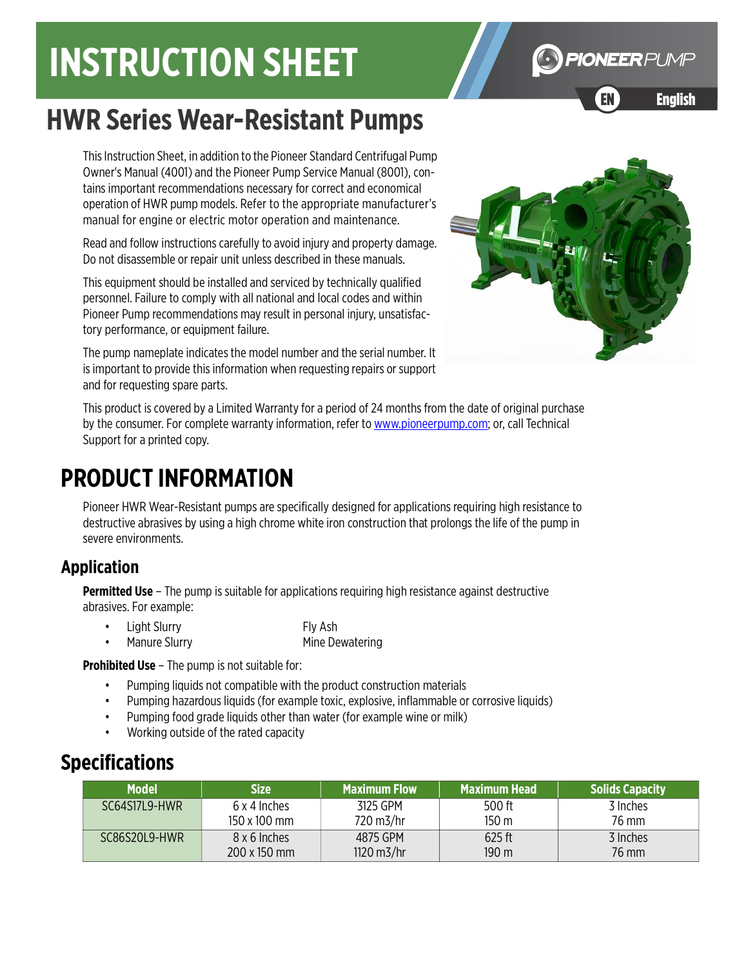# **INSTRUCTION SHEET**

# **HWR Series Wear-Resistant Pumps**

This Instruction Sheet, in addition to the Pioneer Standard Centrifugal Pump Owner's Manual (4001) and the Pioneer Pump Service Manual (8001), contains important recommendations necessary for correct and economical operation of HWR pump models. Refer to the appropriate manufacturer's manual for engine or electric motor operation and maintenance.

Read and follow instructions carefully to avoid injury and property damage. Do not disassemble or repair unit unless described in these manuals.

This equipment should be installed and serviced by technically qualified personnel. Failure to comply with all national and local codes and within Pioneer Pump recommendations may result in personal injury, unsatisfactory performance, or equipment failure.

The pump nameplate indicates the model number and the serial number. It is important to provide this information when requesting repairs or support and for requesting spare parts.

[This product is covered by a Limited Warranty for a period of 24 months from the date of original purchase](http://www.pioneerpump.com)  [by the consumer. For complete warranty information, refer to](http://www.pioneerpump.com) www.pioneerpump.com; or, call Technical Support for a printed copy.

## **PRODUCT INFORMATION**

Pioneer HWR Wear-Resistant pumps are specifically designed for applications requiring high resistance to destructive abrasives by using a high chrome white iron construction that prolongs the life of the pump in severe environments.

#### **Application**

**Permitted Use** – The pump is suitable for applications requiring high resistance against destructive abrasives. For example:

• Light Slurry Fly Ash **Manure Slurry Mine Dewatering** 

**Prohibited Use** – The pump is not suitable for:

- Pumping liquids not compatible with the product construction materials
- Pumping hazardous liquids (for example toxic, explosive, inflammable or corrosive liquids)
- Pumping food grade liquids other than water (for example wine or milk)
- Working outside of the rated capacity

### **Specifications**

| <b>Model</b>  | Size :       | <b>Maximum Flow</b>   | Maximum Head | <b>Solids Capacity</b> |
|---------------|--------------|-----------------------|--------------|------------------------|
| SC64S17L9-HWR | 6 x 4 Inches | 3125 GPM              | 500 ft       | 3 Inches               |
|               | 150 x 100 mm | 720 m3/hr             | 150 m        | 76 mm                  |
| SC86S20L9-HWR | 8 x 6 Inches | 4875 GPM              | $625$ ft     | 3 Inches               |
|               | 200 x 150 mm | $1120 \text{ m}$ 3/hr | 190 m        | 76 mm                  |



EN English Frenc

**G** PIONEER PUMP

EN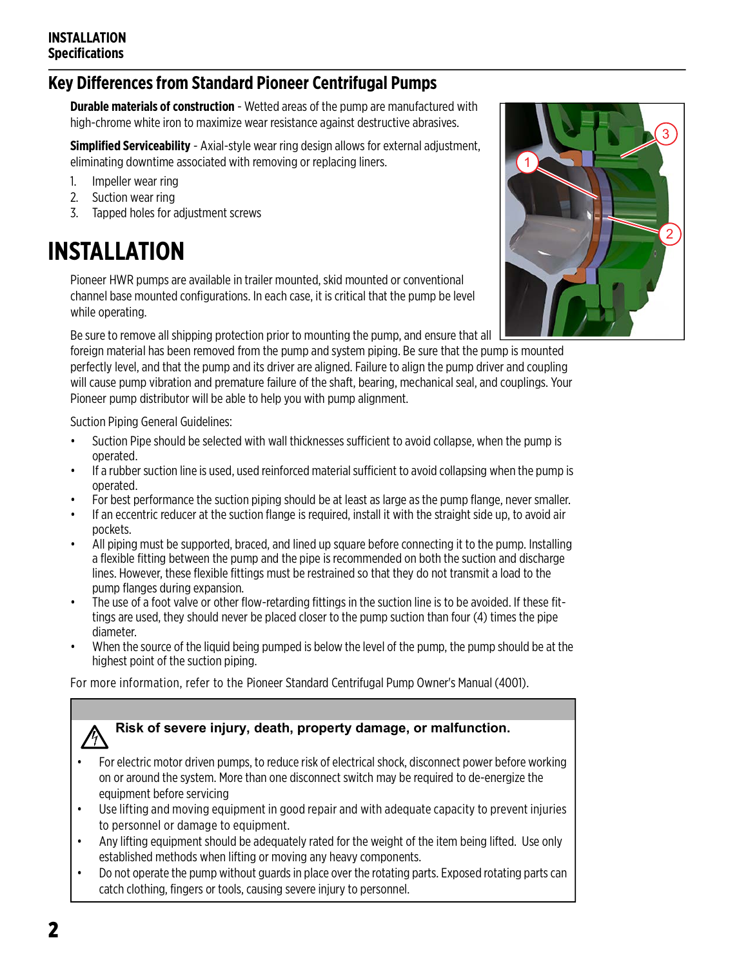#### **Key Differences from Standard Pioneer Centrifugal Pumps**

**Durable materials of construction** - Wetted areas of the pump are manufactured with high-chrome white iron to maximize wear resistance against destructive abrasives.

**Simplified Serviceability** - Axial-style wear ring design allows for external adjustment, eliminating downtime associated with removing or replacing liners.

- 1. Impeller wear ring
- 2. Suction wear ring
- 3. Tapped holes for adjustment screws

# **INSTALLATION**

Pioneer HWR pumps are available in trailer mounted, skid mounted or conventional channel base mounted configurations. In each case, it is critical that the pump be level while operating.

Be sure to remove all shipping protection prior to mounting the pump, and ensure that all

foreign material has been removed from the pump and system piping. Be sure that the pump is mounted perfectly level, and that the pump and its driver are aligned. Failure to align the pump driver and coupling will cause pump vibration and premature failure of the shaft, bearing, mechanical seal, and couplings. Your Pioneer pump distributor will be able to help you with pump alignment.

Suction Piping General Guidelines:

- Suction Pipe should be selected with wall thicknesses sufficient to avoid collapse, when the pump is operated.
- If a rubber suction line is used, used reinforced material sufficient to avoid collapsing when the pump is operated.
- For best performance the suction piping should be at least as large as the pump flange, never smaller.
- If an eccentric reducer at the suction flange is required, install it with the straight side up, to avoid air pockets.
- All piping must be supported, braced, and lined up square before connecting it to the pump. Installing a flexible fitting between the pump and the pipe is recommended on both the suction and discharge lines. However, these flexible fittings must be restrained so that they do not transmit a load to the pump flanges during expansion.
- The use of a foot valve or other flow-retarding fittings in the suction line is to be avoided. If these fittings are used, they should never be placed closer to the pump suction than four (4) times the pipe diameter.
- When the source of the liquid being pumped is below the level of the pump, the pump should be at the highest point of the suction piping.

For more information, refer to the Pioneer Standard Centrifugal Pump Owner's Manual (4001).

# **Risk of severe injury, death, property damage, or malfunction.**

- For electric motor driven pumps, to reduce risk of electrical shock, disconnect power before working on or around the system. More than one disconnect switch may be required to de-energize the equipment before servicing
- Use lifting and moving equipment in good repair and with adequate capacity to prevent injuries to personnel or damage to equipment.
- Any lifting equipment should be adequately rated for the weight of the item being lifted. Use only established methods when lifting or moving any heavy components.
- Do not operate the pump without guards in place over the rotating parts. Exposed rotating parts can catch clothing, fingers or tools, causing severe injury to personnel.

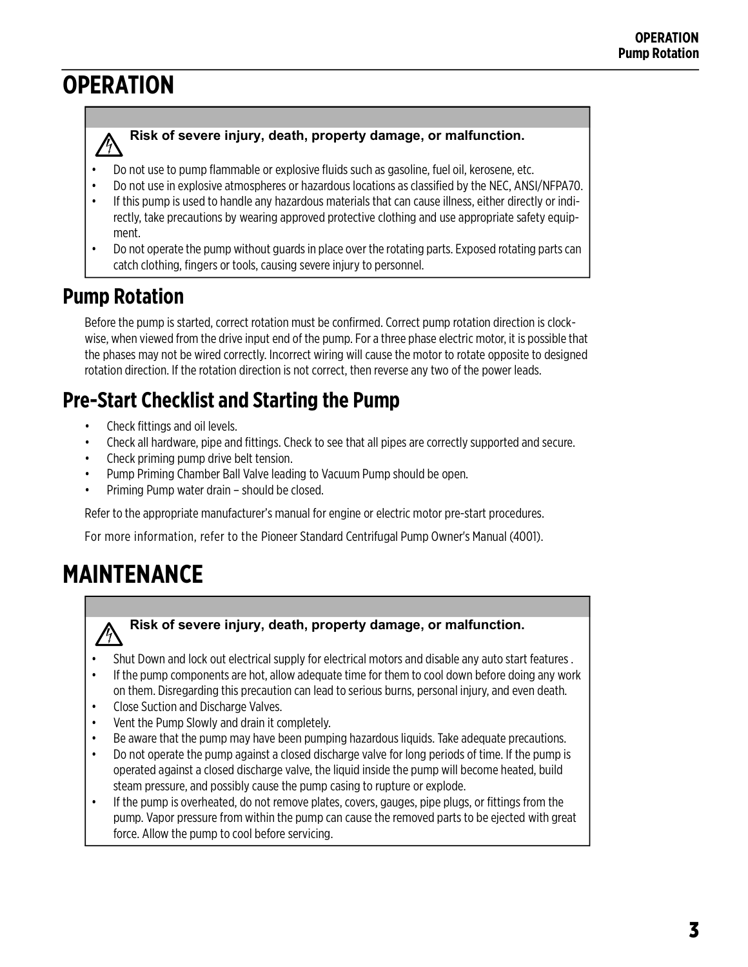# **OPERATION**

#### **Risk of severe injury, death, property damage, or malfunction.**

- Do not use to pump flammable or explosive fluids such as gasoline, fuel oil, kerosene, etc.
- Do not use in explosive atmospheres or hazardous locations as classified by the NEC, ANSI/NFPA70.
- If this pump is used to handle any hazardous materials that can cause illness, either directly or indirectly, take precautions by wearing approved protective clothing and use appropriate safety equipment.
- Do not operate the pump without guards in place over the rotating parts. Exposed rotating parts can catch clothing, fingers or tools, causing severe injury to personnel.

### **Pump Rotation**

Before the pump is started, correct rotation must be confirmed. Correct pump rotation direction is clockwise, when viewed from the drive input end of the pump. For a three phase electric motor, it is possible that the phases may not be wired correctly. Incorrect wiring will cause the motor to rotate opposite to designed rotation direction. If the rotation direction is not correct, then reverse any two of the power leads.

### **Pre-Start Checklist and Starting the Pump**

- Check fittings and oil levels.
- Check all hardware, pipe and fittings. Check to see that all pipes are correctly supported and secure.
- Check priming pump drive belt tension.
- Pump Priming Chamber Ball Valve leading to Vacuum Pump should be open.
- Priming Pump water drain should be closed.

Refer to the appropriate manufacturer's manual for engine or electric motor pre-start procedures.

For more information, refer to the Pioneer Standard Centrifugal Pump Owner's Manual (4001).

# **MAINTENANCE**

#### **Risk of severe injury, death, property damage, or malfunction.**

- Shut Down and lock out electrical supply for electrical motors and disable any auto start features .
- If the pump components are hot, allow adequate time for them to cool down before doing any work on them. Disregarding this precaution can lead to serious burns, personal injury, and even death.
- Close Suction and Discharge Valves.
- Vent the Pump Slowly and drain it completely.
- Be aware that the pump may have been pumping hazardous liquids. Take adequate precautions.
- Do not operate the pump against a closed discharge valve for long periods of time. If the pump is operated against a closed discharge valve, the liquid inside the pump will become heated, build steam pressure, and possibly cause the pump casing to rupture or explode.
- If the pump is overheated, do not remove plates, covers, gauges, pipe plugs, or fittings from the pump. Vapor pressure from within the pump can cause the removed parts to be ejected with great force. Allow the pump to cool before servicing.